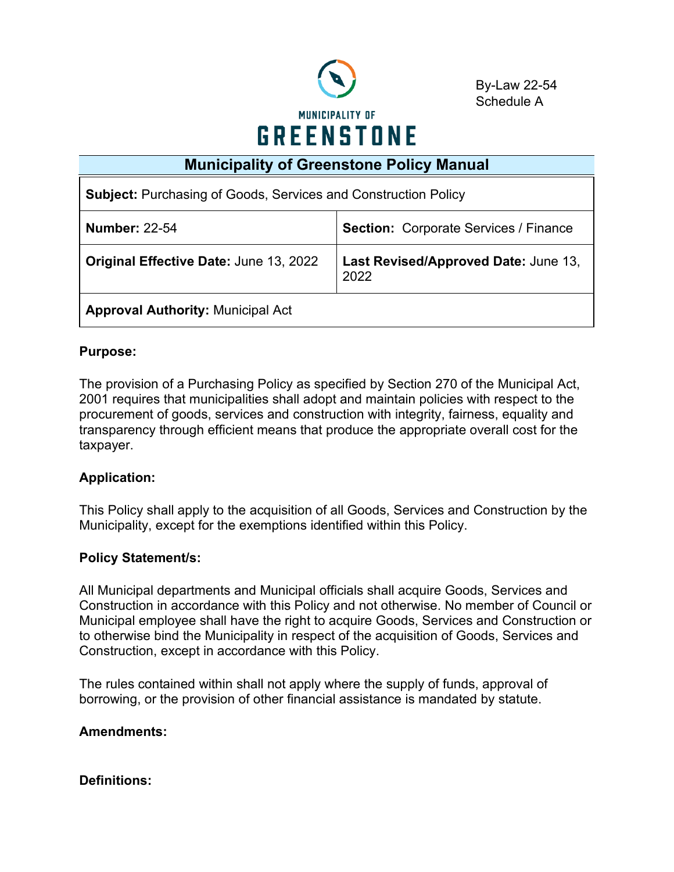

By-Law 22-54 Schedule A

# **Municipality of Greenstone Policy Manual**

| <b>Subject: Purchasing of Goods, Services and Construction Policy</b>                  |  |  |  |
|----------------------------------------------------------------------------------------|--|--|--|
| <b>Section: Corporate Services / Finance</b><br><b>Number: 22-54</b>                   |  |  |  |
| Last Revised/Approved Date: June 13,<br>Original Effective Date: June 13, 2022<br>2022 |  |  |  |
| <b>Approval Authority: Municipal Act</b>                                               |  |  |  |

# **Purpose:**

The provision of a Purchasing Policy as specified by Section 270 of the Municipal Act, 2001 requires that municipalities shall adopt and maintain policies with respect to the procurement of goods, services and construction with integrity, fairness, equality and transparency through efficient means that produce the appropriate overall cost for the taxpayer.

# **Application:**

This Policy shall apply to the acquisition of all Goods, Services and Construction by the Municipality, except for the exemptions identified within this Policy.

#### **Policy Statement/s:**

All Municipal departments and Municipal officials shall acquire Goods, Services and Construction in accordance with this Policy and not otherwise. No member of Council or Municipal employee shall have the right to acquire Goods, Services and Construction or to otherwise bind the Municipality in respect of the acquisition of Goods, Services and Construction, except in accordance with this Policy.

The rules contained within shall not apply where the supply of funds, approval of borrowing, or the provision of other financial assistance is mandated by statute.

#### **Amendments:**

# **Definitions:**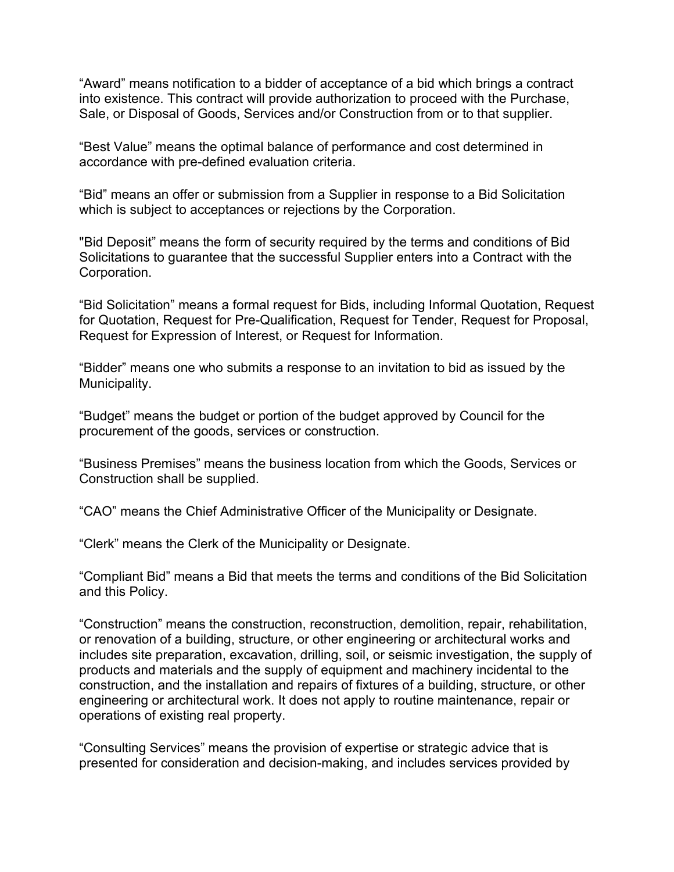"Award" means notification to a bidder of acceptance of a bid which brings a contract into existence. This contract will provide authorization to proceed with the Purchase, Sale, or Disposal of Goods, Services and/or Construction from or to that supplier.

"Best Value" means the optimal balance of performance and cost determined in accordance with pre-defined evaluation criteria.

"Bid" means an offer or submission from a Supplier in response to a Bid Solicitation which is subject to acceptances or rejections by the Corporation.

"Bid Deposit" means the form of security required by the terms and conditions of Bid Solicitations to guarantee that the successful Supplier enters into a Contract with the Corporation.

"Bid Solicitation" means a formal request for Bids, including Informal Quotation, Request for Quotation, Request for Pre-Qualification, Request for Tender, Request for Proposal, Request for Expression of Interest, or Request for Information.

"Bidder" means one who submits a response to an invitation to bid as issued by the Municipality.

"Budget" means the budget or portion of the budget approved by Council for the procurement of the goods, services or construction.

"Business Premises" means the business location from which the Goods, Services or Construction shall be supplied.

"CAO" means the Chief Administrative Officer of the Municipality or Designate.

"Clerk" means the Clerk of the Municipality or Designate.

"Compliant Bid" means a Bid that meets the terms and conditions of the Bid Solicitation and this Policy.

"Construction" means the construction, reconstruction, demolition, repair, rehabilitation, or renovation of a building, structure, or other engineering or architectural works and includes site preparation, excavation, drilling, soil, or seismic investigation, the supply of products and materials and the supply of equipment and machinery incidental to the construction, and the installation and repairs of fixtures of a building, structure, or other engineering or architectural work. It does not apply to routine maintenance, repair or operations of existing real property.

"Consulting Services" means the provision of expertise or strategic advice that is presented for consideration and decision-making, and includes services provided by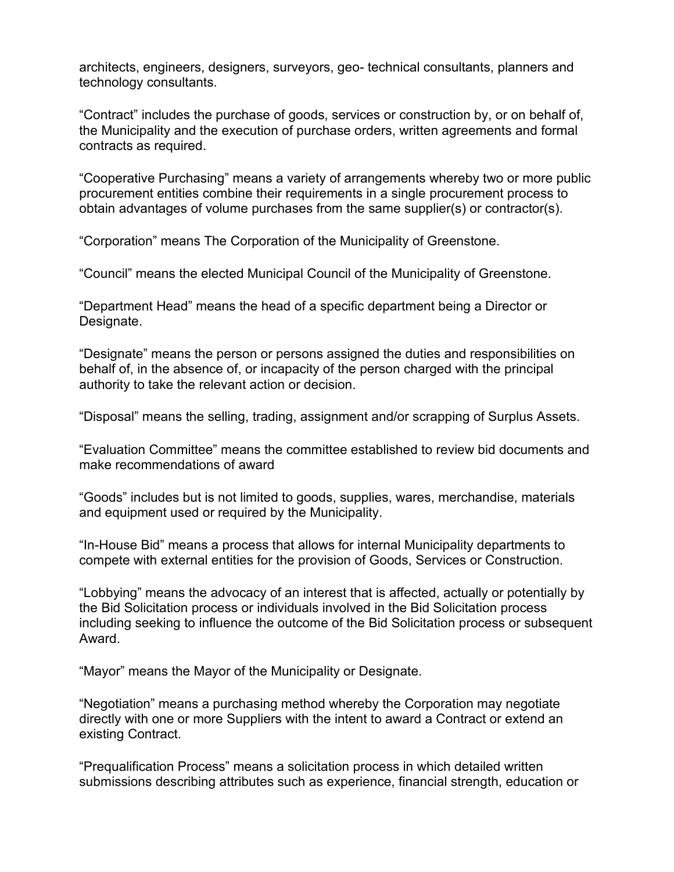architects, engineers, designers, surveyors, geo- technical consultants, planners and technology consultants.

"Contract" includes the purchase of goods, services or construction by, or on behalf of, the Municipality and the execution of purchase orders, written agreements and formal contracts as required.

"Cooperative Purchasing" means a variety of arrangements whereby two or more public procurement entities combine their requirements in a single procurement process to obtain advantages of volume purchases from the same supplier(s) or contractor(s).

"Corporation" means The Corporation of the Municipality of Greenstone.

"Council" means the elected Municipal Council of the Municipality of Greenstone.

"Department Head" means the head of a specific department being a Director or Designate.

"Designate" means the person or persons assigned the duties and responsibilities on behalf of, in the absence of, or incapacity of the person charged with the principal authority to take the relevant action or decision.

"Disposal" means the selling, trading, assignment and/or scrapping of Surplus Assets.

"Evaluation Committee" means the committee established to review bid documents and make recommendations of award

"Goods" includes but is not limited to goods, supplies, wares, merchandise, materials and equipment used or required by the Municipality.

"In-House Bid" means a process that allows for internal Municipality departments to compete with external entities for the provision of Goods, Services or Construction.

"Lobbying" means the advocacy of an interest that is affected, actually or potentially by the Bid Solicitation process or individuals involved in the Bid Solicitation process including seeking to influence the outcome of the Bid Solicitation process or subsequent Award.

"Mayor" means the Mayor of the Municipality or Designate.

"Negotiation" means a purchasing method whereby the Corporation may negotiate directly with one or more Suppliers with the intent to award a Contract or extend an existing Contract.

"Prequalification Process" means a solicitation process in which detailed written submissions describing attributes such as experience, financial strength, education or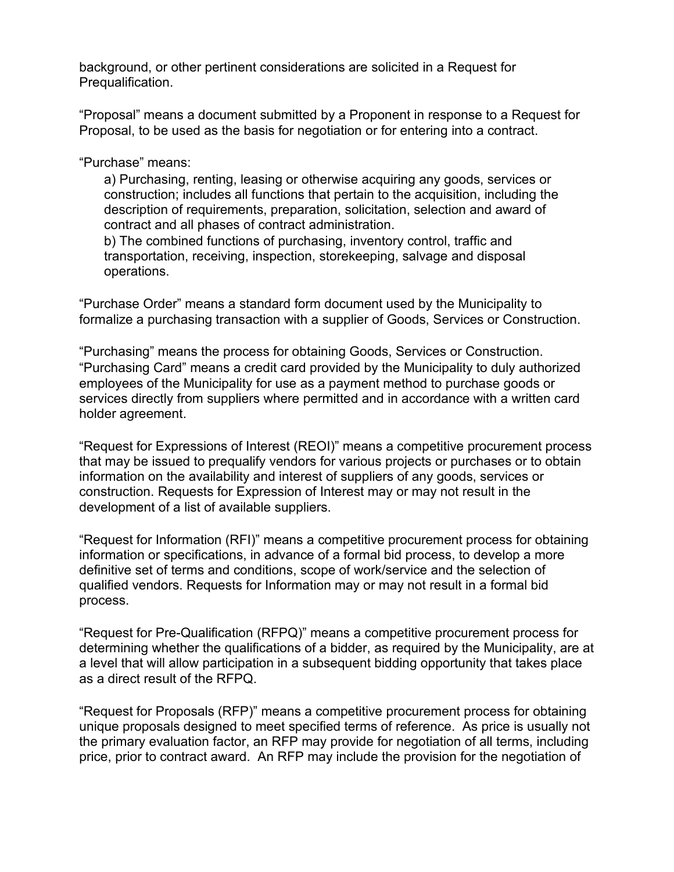background, or other pertinent considerations are solicited in a Request for Prequalification.

"Proposal" means a document submitted by a Proponent in response to a Request for Proposal, to be used as the basis for negotiation or for entering into a contract.

"Purchase" means:

a) Purchasing, renting, leasing or otherwise acquiring any goods, services or construction; includes all functions that pertain to the acquisition, including the description of requirements, preparation, solicitation, selection and award of contract and all phases of contract administration.

b) The combined functions of purchasing, inventory control, traffic and transportation, receiving, inspection, storekeeping, salvage and disposal operations.

"Purchase Order" means a standard form document used by the Municipality to formalize a purchasing transaction with a supplier of Goods, Services or Construction.

"Purchasing" means the process for obtaining Goods, Services or Construction. "Purchasing Card" means a credit card provided by the Municipality to duly authorized employees of the Municipality for use as a payment method to purchase goods or services directly from suppliers where permitted and in accordance with a written card holder agreement.

"Request for Expressions of Interest (REOI)" means a competitive procurement process that may be issued to prequalify vendors for various projects or purchases or to obtain information on the availability and interest of suppliers of any goods, services or construction. Requests for Expression of Interest may or may not result in the development of a list of available suppliers.

"Request for Information (RFI)" means a competitive procurement process for obtaining information or specifications, in advance of a formal bid process, to develop a more definitive set of terms and conditions, scope of work/service and the selection of qualified vendors. Requests for Information may or may not result in a formal bid process.

"Request for Pre-Qualification (RFPQ)" means a competitive procurement process for determining whether the qualifications of a bidder, as required by the Municipality, are at a level that will allow participation in a subsequent bidding opportunity that takes place as a direct result of the RFPQ.

"Request for Proposals (RFP)" means a competitive procurement process for obtaining unique proposals designed to meet specified terms of reference. As price is usually not the primary evaluation factor, an RFP may provide for negotiation of all terms, including price, prior to contract award. An RFP may include the provision for the negotiation of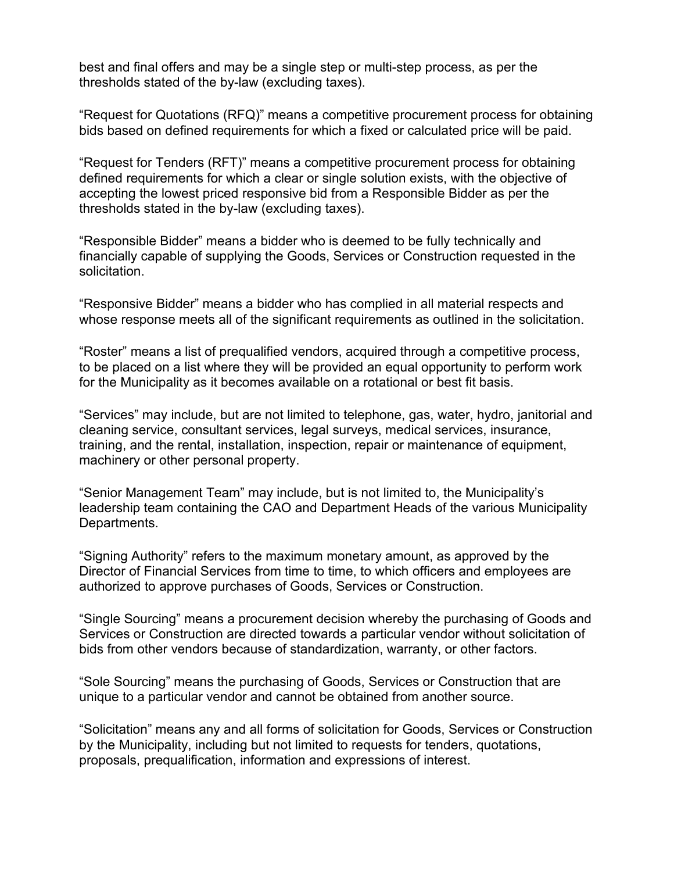best and final offers and may be a single step or multi-step process, as per the thresholds stated of the by-law (excluding taxes).

"Request for Quotations (RFQ)" means a competitive procurement process for obtaining bids based on defined requirements for which a fixed or calculated price will be paid.

"Request for Tenders (RFT)" means a competitive procurement process for obtaining defined requirements for which a clear or single solution exists, with the objective of accepting the lowest priced responsive bid from a Responsible Bidder as per the thresholds stated in the by-law (excluding taxes).

"Responsible Bidder" means a bidder who is deemed to be fully technically and financially capable of supplying the Goods, Services or Construction requested in the solicitation.

"Responsive Bidder" means a bidder who has complied in all material respects and whose response meets all of the significant requirements as outlined in the solicitation.

"Roster" means a list of prequalified vendors, acquired through a competitive process, to be placed on a list where they will be provided an equal opportunity to perform work for the Municipality as it becomes available on a rotational or best fit basis.

"Services" may include, but are not limited to telephone, gas, water, hydro, janitorial and cleaning service, consultant services, legal surveys, medical services, insurance, training, and the rental, installation, inspection, repair or maintenance of equipment, machinery or other personal property.

"Senior Management Team" may include, but is not limited to, the Municipality's leadership team containing the CAO and Department Heads of the various Municipality Departments.

"Signing Authority" refers to the maximum monetary amount, as approved by the Director of Financial Services from time to time, to which officers and employees are authorized to approve purchases of Goods, Services or Construction.

"Single Sourcing" means a procurement decision whereby the purchasing of Goods and Services or Construction are directed towards a particular vendor without solicitation of bids from other vendors because of standardization, warranty, or other factors.

"Sole Sourcing" means the purchasing of Goods, Services or Construction that are unique to a particular vendor and cannot be obtained from another source.

"Solicitation" means any and all forms of solicitation for Goods, Services or Construction by the Municipality, including but not limited to requests for tenders, quotations, proposals, prequalification, information and expressions of interest.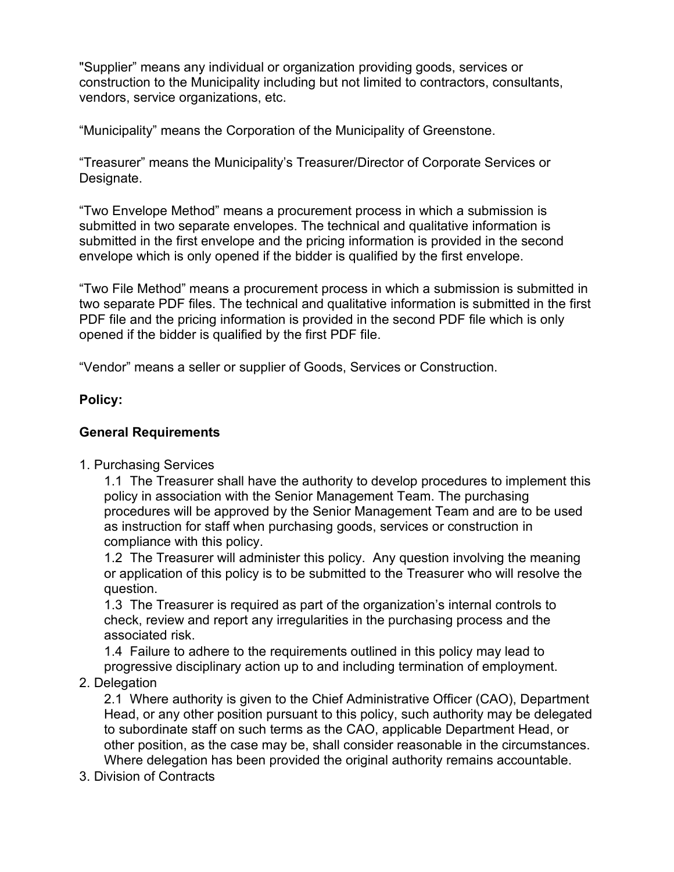"Supplier" means any individual or organization providing goods, services or construction to the Municipality including but not limited to contractors, consultants, vendors, service organizations, etc.

"Municipality" means the Corporation of the Municipality of Greenstone.

"Treasurer" means the Municipality's Treasurer/Director of Corporate Services or Designate.

"Two Envelope Method" means a procurement process in which a submission is submitted in two separate envelopes. The technical and qualitative information is submitted in the first envelope and the pricing information is provided in the second envelope which is only opened if the bidder is qualified by the first envelope.

"Two File Method" means a procurement process in which a submission is submitted in two separate PDF files. The technical and qualitative information is submitted in the first PDF file and the pricing information is provided in the second PDF file which is only opened if the bidder is qualified by the first PDF file.

"Vendor" means a seller or supplier of Goods, Services or Construction.

### **Policy:**

# **General Requirements**

1. Purchasing Services

1.1 The Treasurer shall have the authority to develop procedures to implement this policy in association with the Senior Management Team. The purchasing procedures will be approved by the Senior Management Team and are to be used as instruction for staff when purchasing goods, services or construction in compliance with this policy.

1.2 The Treasurer will administer this policy. Any question involving the meaning or application of this policy is to be submitted to the Treasurer who will resolve the question.

1.3 The Treasurer is required as part of the organization's internal controls to check, review and report any irregularities in the purchasing process and the associated risk.

1.4 Failure to adhere to the requirements outlined in this policy may lead to progressive disciplinary action up to and including termination of employment.

# 2. Delegation

2.1 Where authority is given to the Chief Administrative Officer (CAO), Department Head, or any other position pursuant to this policy, such authority may be delegated to subordinate staff on such terms as the CAO, applicable Department Head, or other position, as the case may be, shall consider reasonable in the circumstances. Where delegation has been provided the original authority remains accountable.

3. Division of Contracts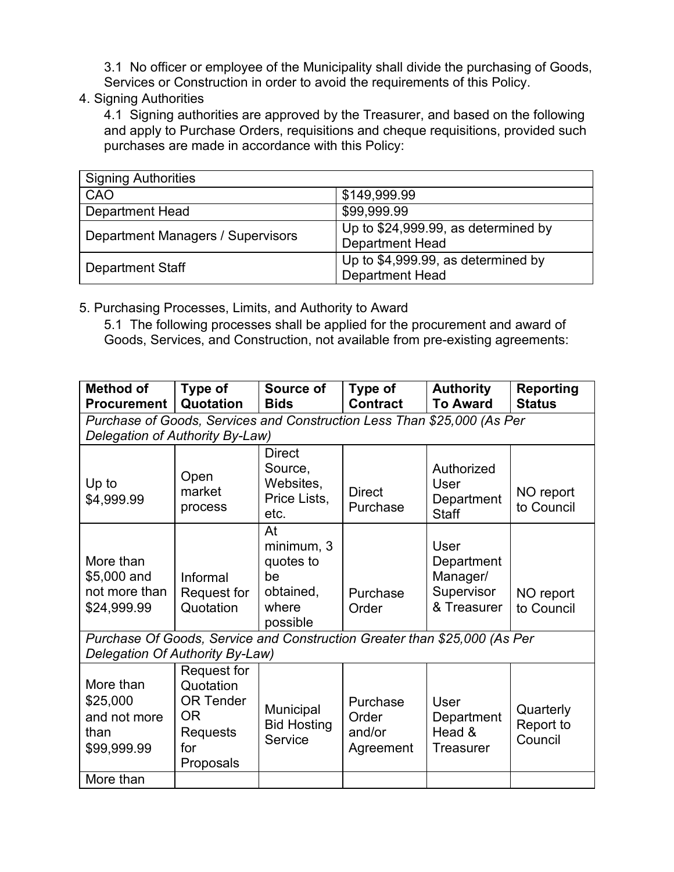3.1 No officer or employee of the Municipality shall divide the purchasing of Goods, Services or Construction in order to avoid the requirements of this Policy.

4. Signing Authorities

4.1 Signing authorities are approved by the Treasurer, and based on the following and apply to Purchase Orders, requisitions and cheque requisitions, provided such purchases are made in accordance with this Policy:

| <b>Signing Authorities</b>               |                                     |
|------------------------------------------|-------------------------------------|
| CAO                                      | \$149,999.99                        |
| <b>Department Head</b>                   | \$99,999.99                         |
| <b>Department Managers / Supervisors</b> | Up to \$24,999.99, as determined by |
|                                          | <b>Department Head</b>              |
| <b>Department Staff</b>                  | Up to \$4,999.99, as determined by  |
|                                          | <b>Department Head</b>              |

5. Purchasing Processes, Limits, and Authority to Award

5.1 The following processes shall be applied for the procurement and award of Goods, Services, and Construction, not available from pre-existing agreements:

| <b>Method of</b><br><b>Procurement</b>                                                                       | Type of<br>Quotation                                                                                       | Source of<br><b>Bids</b>                                              | Type of<br><b>Contract</b>               | <b>Authority</b><br><b>To Award</b>                         | <b>Reporting</b><br><b>Status</b> |
|--------------------------------------------------------------------------------------------------------------|------------------------------------------------------------------------------------------------------------|-----------------------------------------------------------------------|------------------------------------------|-------------------------------------------------------------|-----------------------------------|
|                                                                                                              | Purchase of Goods, Services and Construction Less Than \$25,000 (As Per<br>Delegation of Authority By-Law) |                                                                       |                                          |                                                             |                                   |
| Up to<br>\$4,999.99                                                                                          | Open<br>market<br>process                                                                                  | <b>Direct</b><br>Source,<br>Websites,<br>Price Lists,<br>etc.         | <b>Direct</b><br>Purchase                | Authorized<br>User<br>Department<br><b>Staff</b>            | NO report<br>to Council           |
| More than<br>\$5,000 and<br>not more than<br>\$24,999.99                                                     | Informal<br>Request for<br>Quotation                                                                       | At<br>minimum, 3<br>quotes to<br>be<br>obtained,<br>where<br>possible | Purchase<br>Order                        | User<br>Department<br>Manager/<br>Supervisor<br>& Treasurer | NO report<br>to Council           |
| Purchase Of Goods, Service and Construction Greater than \$25,000 (As Per<br>Delegation Of Authority By-Law) |                                                                                                            |                                                                       |                                          |                                                             |                                   |
| More than<br>\$25,000<br>and not more<br>than<br>\$99,999.99                                                 | Request for<br>Quotation<br><b>OR Tender</b><br><b>OR</b><br><b>Requests</b><br>for<br>Proposals           | Municipal<br><b>Bid Hosting</b><br>Service                            | Purchase<br>Order<br>and/or<br>Agreement | User<br>Department<br>Head &<br><b>Treasurer</b>            | Quarterly<br>Report to<br>Council |
| More than                                                                                                    |                                                                                                            |                                                                       |                                          |                                                             |                                   |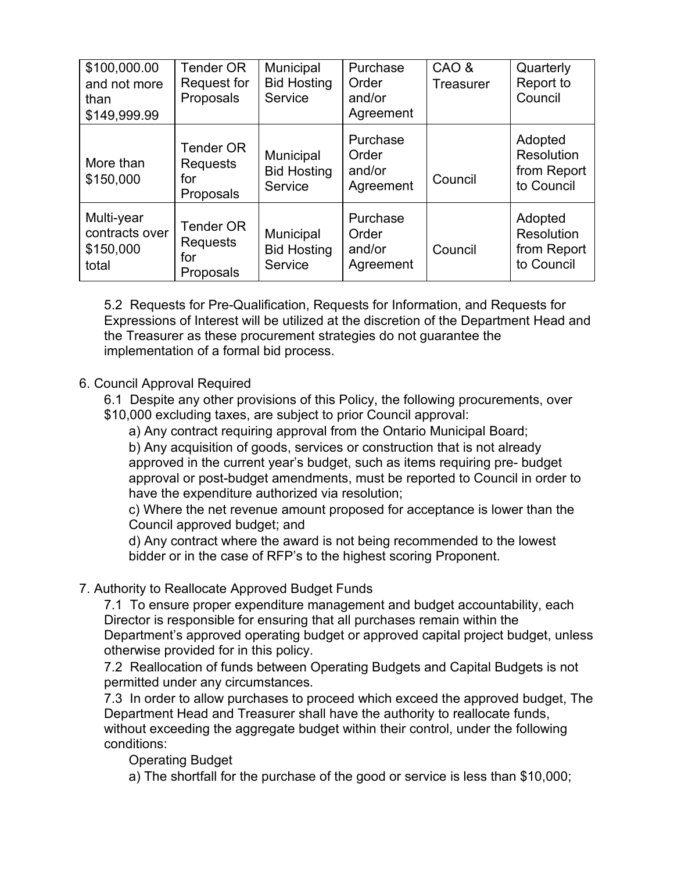| \$100,000.00<br>and not more<br>than<br>\$149,999.99 | <b>Tender OR</b><br>Request for<br>Proposals     | Municipal<br><b>Bid Hosting</b><br>Service | Purchase<br>Order<br>and/or<br>Agreement | CAO &<br><b>Treasurer</b> | Quarterly<br>Report to<br>Council                  |
|------------------------------------------------------|--------------------------------------------------|--------------------------------------------|------------------------------------------|---------------------------|----------------------------------------------------|
| More than<br>\$150,000                               | <b>Tender OR</b><br>Requests<br>for<br>Proposals | Municipal<br><b>Bid Hosting</b><br>Service | Purchase<br>Order<br>and/or<br>Agreement | Council                   | Adopted<br>Resolution<br>from Report<br>to Council |
| Multi-year<br>contracts over<br>\$150,000<br>total   | <b>Tender OR</b><br>Requests<br>for<br>Proposals | Municipal<br><b>Bid Hosting</b><br>Service | Purchase<br>Order<br>and/or<br>Agreement | Council                   | Adopted<br>Resolution<br>from Report<br>to Council |

5.2 Requests for Pre-Qualification, Requests for Information, and Requests for Expressions of Interest will be utilized at the discretion of the Department Head and the Treasurer as these procurement strategies do not guarantee the implementation of a formal bid process.

### 6. Council Approval Required

- 6.1 Despite any other provisions of this Policy, the following procurements, over
- \$10,000 excluding taxes, are subject to prior Council approval:

a) Any contract requiring approval from the Ontario Municipal Board;

b) Any acquisition of goods, services or construction that is not already approved in the current year's budget, such as items requiring pre- budget approval or post-budget amendments, must be reported to Council in order to have the expenditure authorized via resolution;

c) Where the net revenue amount proposed for acceptance is lower than the Council approved budget; and

d) Any contract where the award is not being recommended to the lowest bidder or in the case of RFP's to the highest scoring Proponent.

# 7. Authority to Reallocate Approved Budget Funds

7.1 To ensure proper expenditure management and budget accountability, each Director is responsible for ensuring that all purchases remain within the Department's approved operating budget or approved capital project budget, unless otherwise provided for in this policy.

7.2 Reallocation of funds between Operating Budgets and Capital Budgets is not permitted under any circumstances.

7.3 In order to allow purchases to proceed which exceed the approved budget, The Department Head and Treasurer shall have the authority to reallocate funds, without exceeding the aggregate budget within their control, under the following conditions:

Operating Budget

a) The shortfall for the purchase of the good or service is less than \$10,000;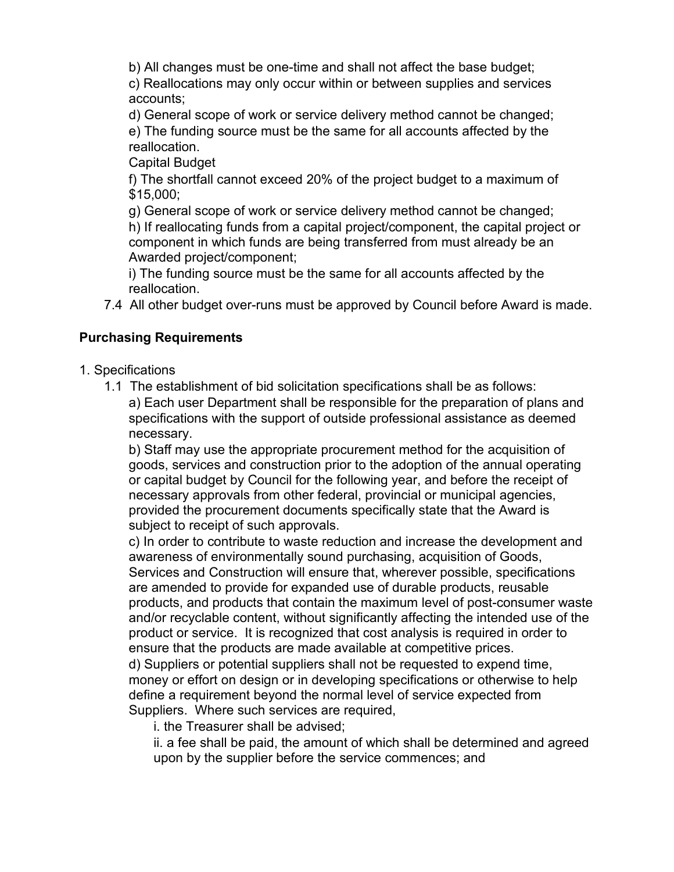b) All changes must be one-time and shall not affect the base budget;

c) Reallocations may only occur within or between supplies and services accounts;

d) General scope of work or service delivery method cannot be changed; e) The funding source must be the same for all accounts affected by the reallocation.

Capital Budget

f) The shortfall cannot exceed 20% of the project budget to a maximum of \$15,000;

g) General scope of work or service delivery method cannot be changed; h) If reallocating funds from a capital project/component, the capital project or component in which funds are being transferred from must already be an Awarded project/component;

i) The funding source must be the same for all accounts affected by the reallocation.

7.4 All other budget over-runs must be approved by Council before Award is made.

# **Purchasing Requirements**

- 1. Specifications
	- 1.1 The establishment of bid solicitation specifications shall be as follows: a) Each user Department shall be responsible for the preparation of plans and specifications with the support of outside professional assistance as deemed necessary.

b) Staff may use the appropriate procurement method for the acquisition of goods, services and construction prior to the adoption of the annual operating or capital budget by Council for the following year, and before the receipt of necessary approvals from other federal, provincial or municipal agencies, provided the procurement documents specifically state that the Award is subject to receipt of such approvals.

c) In order to contribute to waste reduction and increase the development and awareness of environmentally sound purchasing, acquisition of Goods, Services and Construction will ensure that, wherever possible, specifications are amended to provide for expanded use of durable products, reusable products, and products that contain the maximum level of post-consumer waste and/or recyclable content, without significantly affecting the intended use of the product or service. It is recognized that cost analysis is required in order to ensure that the products are made available at competitive prices.

d) Suppliers or potential suppliers shall not be requested to expend time, money or effort on design or in developing specifications or otherwise to help define a requirement beyond the normal level of service expected from Suppliers. Where such services are required,

i. the Treasurer shall be advised;

ii. a fee shall be paid, the amount of which shall be determined and agreed upon by the supplier before the service commences; and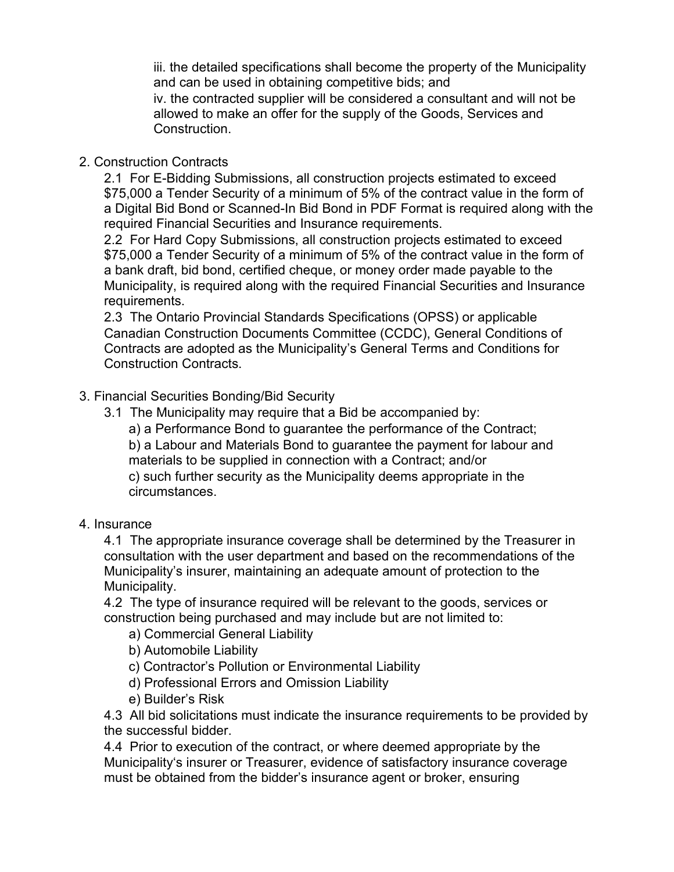iii. the detailed specifications shall become the property of the Municipality and can be used in obtaining competitive bids; and

iv. the contracted supplier will be considered a consultant and will not be allowed to make an offer for the supply of the Goods, Services and Construction.

# 2. Construction Contracts

2.1 For E-Bidding Submissions, all construction projects estimated to exceed \$75,000 a Tender Security of a minimum of 5% of the contract value in the form of a Digital Bid Bond or Scanned-In Bid Bond in PDF Format is required along with the required Financial Securities and Insurance requirements.

2.2 For Hard Copy Submissions, all construction projects estimated to exceed \$75,000 a Tender Security of a minimum of 5% of the contract value in the form of a bank draft, bid bond, certified cheque, or money order made payable to the Municipality, is required along with the required Financial Securities and Insurance requirements.

2.3 The Ontario Provincial Standards Specifications (OPSS) or applicable Canadian Construction Documents Committee (CCDC), General Conditions of Contracts are adopted as the Municipality's General Terms and Conditions for Construction Contracts.

# 3. Financial Securities Bonding/Bid Security

3.1 The Municipality may require that a Bid be accompanied by:

a) a Performance Bond to guarantee the performance of the Contract; b) a Labour and Materials Bond to guarantee the payment for labour and

materials to be supplied in connection with a Contract; and/or c) such further security as the Municipality deems appropriate in the circumstances.

# 4. Insurance

4.1 The appropriate insurance coverage shall be determined by the Treasurer in consultation with the user department and based on the recommendations of the Municipality's insurer, maintaining an adequate amount of protection to the Municipality.

4.2 The type of insurance required will be relevant to the goods, services or construction being purchased and may include but are not limited to:

- a) Commercial General Liability
- b) Automobile Liability
- c) Contractor's Pollution or Environmental Liability
- d) Professional Errors and Omission Liability
- e) Builder's Risk

4.3 All bid solicitations must indicate the insurance requirements to be provided by the successful bidder.

4.4 Prior to execution of the contract, or where deemed appropriate by the Municipality's insurer or Treasurer, evidence of satisfactory insurance coverage must be obtained from the bidder's insurance agent or broker, ensuring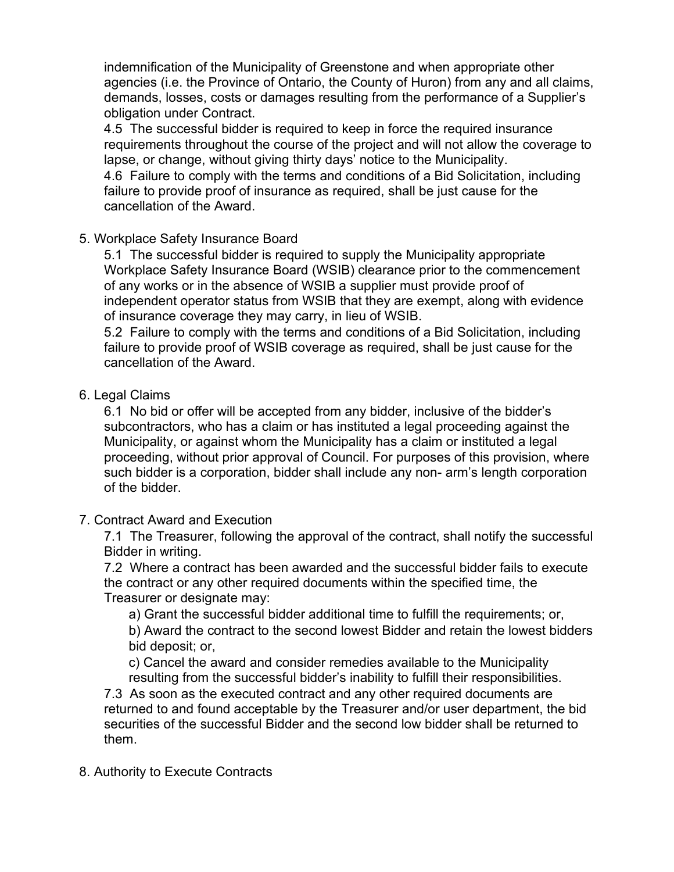indemnification of the Municipality of Greenstone and when appropriate other agencies (i.e. the Province of Ontario, the County of Huron) from any and all claims, demands, losses, costs or damages resulting from the performance of a Supplier's obligation under Contract.

4.5 The successful bidder is required to keep in force the required insurance requirements throughout the course of the project and will not allow the coverage to lapse, or change, without giving thirty days' notice to the Municipality.

4.6 Failure to comply with the terms and conditions of a Bid Solicitation, including failure to provide proof of insurance as required, shall be just cause for the cancellation of the Award.

### 5. Workplace Safety Insurance Board

5.1 The successful bidder is required to supply the Municipality appropriate Workplace Safety Insurance Board (WSIB) clearance prior to the commencement of any works or in the absence of WSIB a supplier must provide proof of independent operator status from WSIB that they are exempt, along with evidence of insurance coverage they may carry, in lieu of WSIB.

5.2 Failure to comply with the terms and conditions of a Bid Solicitation, including failure to provide proof of WSIB coverage as required, shall be just cause for the cancellation of the Award.

### 6. Legal Claims

6.1 No bid or offer will be accepted from any bidder, inclusive of the bidder's subcontractors, who has a claim or has instituted a legal proceeding against the Municipality, or against whom the Municipality has a claim or instituted a legal proceeding, without prior approval of Council. For purposes of this provision, where such bidder is a corporation, bidder shall include any non- arm's length corporation of the bidder.

# 7. Contract Award and Execution

7.1 The Treasurer, following the approval of the contract, shall notify the successful Bidder in writing.

7.2 Where a contract has been awarded and the successful bidder fails to execute the contract or any other required documents within the specified time, the Treasurer or designate may:

a) Grant the successful bidder additional time to fulfill the requirements; or, b) Award the contract to the second lowest Bidder and retain the lowest bidders bid deposit; or,

c) Cancel the award and consider remedies available to the Municipality resulting from the successful bidder's inability to fulfill their responsibilities.

7.3 As soon as the executed contract and any other required documents are returned to and found acceptable by the Treasurer and/or user department, the bid securities of the successful Bidder and the second low bidder shall be returned to them.

# 8. Authority to Execute Contracts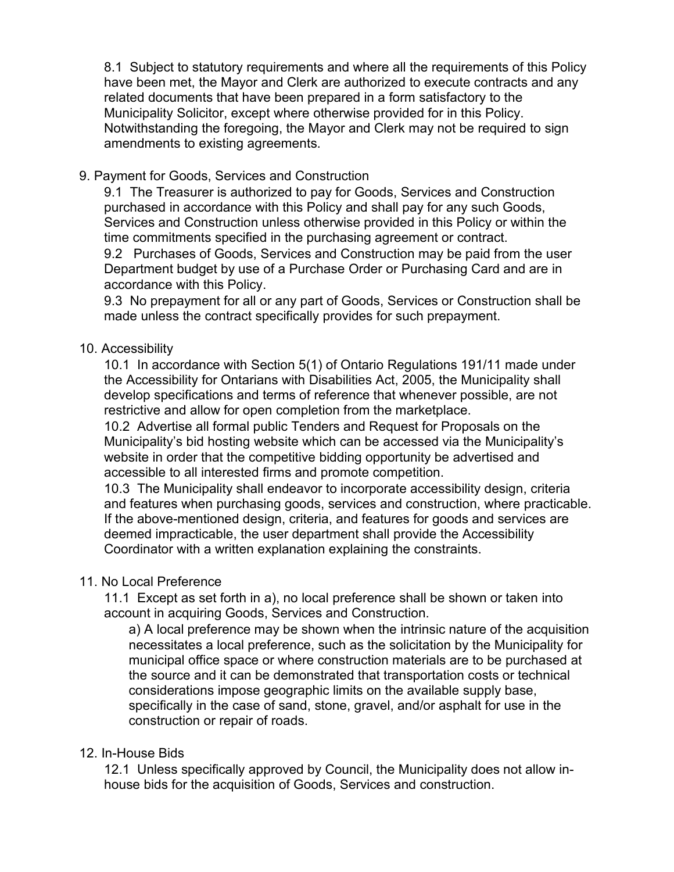8.1 Subject to statutory requirements and where all the requirements of this Policy have been met, the Mayor and Clerk are authorized to execute contracts and any related documents that have been prepared in a form satisfactory to the Municipality Solicitor, except where otherwise provided for in this Policy. Notwithstanding the foregoing, the Mayor and Clerk may not be required to sign amendments to existing agreements.

#### 9. Payment for Goods, Services and Construction

9.1 The Treasurer is authorized to pay for Goods, Services and Construction purchased in accordance with this Policy and shall pay for any such Goods, Services and Construction unless otherwise provided in this Policy or within the time commitments specified in the purchasing agreement or contract.

9.2 Purchases of Goods, Services and Construction may be paid from the user Department budget by use of a Purchase Order or Purchasing Card and are in accordance with this Policy.

9.3 No prepayment for all or any part of Goods, Services or Construction shall be made unless the contract specifically provides for such prepayment.

#### 10. Accessibility

10.1 In accordance with Section 5(1) of Ontario Regulations 191/11 made under the Accessibility for Ontarians with Disabilities Act, 2005, the Municipality shall develop specifications and terms of reference that whenever possible, are not restrictive and allow for open completion from the marketplace.

10.2 Advertise all formal public Tenders and Request for Proposals on the Municipality's bid hosting website which can be accessed via the Municipality's website in order that the competitive bidding opportunity be advertised and accessible to all interested firms and promote competition.

10.3 The Municipality shall endeavor to incorporate accessibility design, criteria and features when purchasing goods, services and construction, where practicable. If the above-mentioned design, criteria, and features for goods and services are deemed impracticable, the user department shall provide the Accessibility Coordinator with a written explanation explaining the constraints.

#### 11. No Local Preference

11.1 Except as set forth in a), no local preference shall be shown or taken into account in acquiring Goods, Services and Construction.

a) A local preference may be shown when the intrinsic nature of the acquisition necessitates a local preference, such as the solicitation by the Municipality for municipal office space or where construction materials are to be purchased at the source and it can be demonstrated that transportation costs or technical considerations impose geographic limits on the available supply base, specifically in the case of sand, stone, gravel, and/or asphalt for use in the construction or repair of roads.

#### 12. In-House Bids

12.1 Unless specifically approved by Council, the Municipality does not allow inhouse bids for the acquisition of Goods, Services and construction.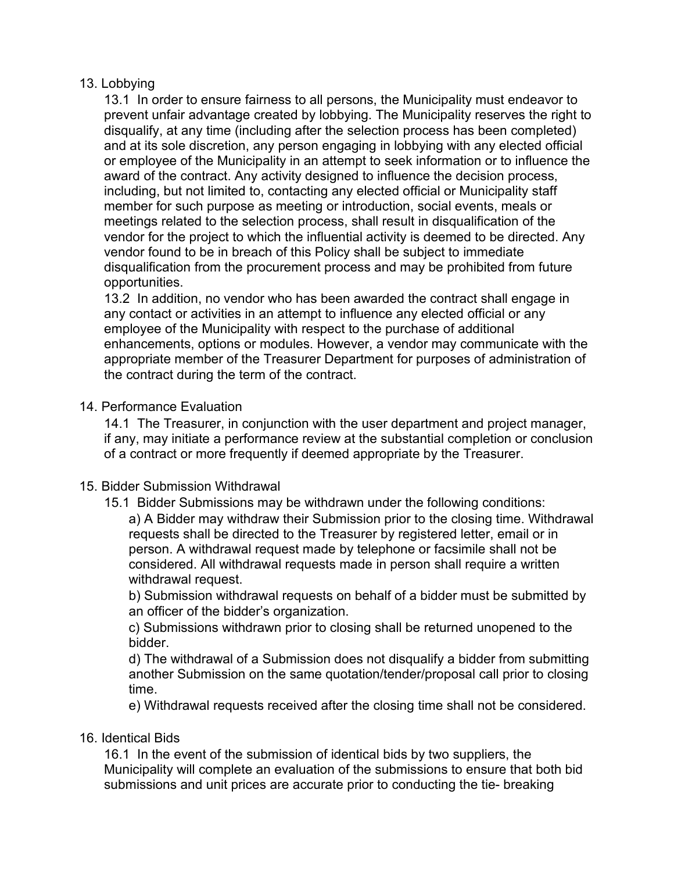#### 13. Lobbying

13.1 In order to ensure fairness to all persons, the Municipality must endeavor to prevent unfair advantage created by lobbying. The Municipality reserves the right to disqualify, at any time (including after the selection process has been completed) and at its sole discretion, any person engaging in lobbying with any elected official or employee of the Municipality in an attempt to seek information or to influence the award of the contract. Any activity designed to influence the decision process, including, but not limited to, contacting any elected official or Municipality staff member for such purpose as meeting or introduction, social events, meals or meetings related to the selection process, shall result in disqualification of the vendor for the project to which the influential activity is deemed to be directed. Any vendor found to be in breach of this Policy shall be subject to immediate disqualification from the procurement process and may be prohibited from future opportunities.

13.2 In addition, no vendor who has been awarded the contract shall engage in any contact or activities in an attempt to influence any elected official or any employee of the Municipality with respect to the purchase of additional enhancements, options or modules. However, a vendor may communicate with the appropriate member of the Treasurer Department for purposes of administration of the contract during the term of the contract.

#### 14. Performance Evaluation

14.1 The Treasurer, in conjunction with the user department and project manager, if any, may initiate a performance review at the substantial completion or conclusion of a contract or more frequently if deemed appropriate by the Treasurer.

#### 15. Bidder Submission Withdrawal

15.1 Bidder Submissions may be withdrawn under the following conditions:

a) A Bidder may withdraw their Submission prior to the closing time. Withdrawal requests shall be directed to the Treasurer by registered letter, email or in person. A withdrawal request made by telephone or facsimile shall not be considered. All withdrawal requests made in person shall require a written withdrawal request.

b) Submission withdrawal requests on behalf of a bidder must be submitted by an officer of the bidder's organization.

c) Submissions withdrawn prior to closing shall be returned unopened to the bidder.

d) The withdrawal of a Submission does not disqualify a bidder from submitting another Submission on the same quotation/tender/proposal call prior to closing time.

e) Withdrawal requests received after the closing time shall not be considered.

#### 16. Identical Bids

16.1 In the event of the submission of identical bids by two suppliers, the Municipality will complete an evaluation of the submissions to ensure that both bid submissions and unit prices are accurate prior to conducting the tie- breaking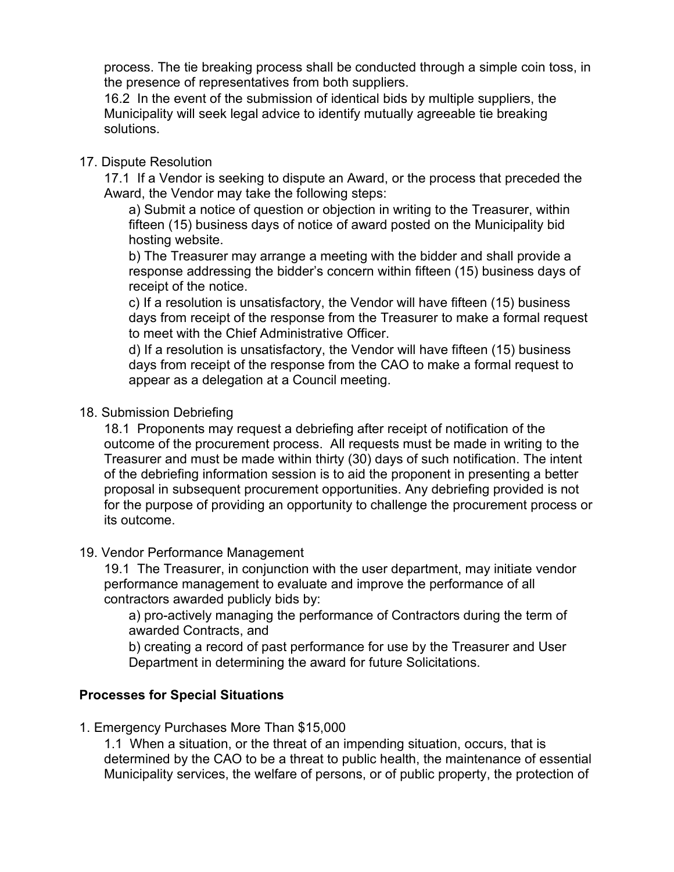process. The tie breaking process shall be conducted through a simple coin toss, in the presence of representatives from both suppliers.

16.2 In the event of the submission of identical bids by multiple suppliers, the Municipality will seek legal advice to identify mutually agreeable tie breaking solutions.

### 17. Dispute Resolution

17.1 If a Vendor is seeking to dispute an Award, or the process that preceded the Award, the Vendor may take the following steps:

a) Submit a notice of question or objection in writing to the Treasurer, within fifteen (15) business days of notice of award posted on the Municipality bid hosting website.

b) The Treasurer may arrange a meeting with the bidder and shall provide a response addressing the bidder's concern within fifteen (15) business days of receipt of the notice.

c) If a resolution is unsatisfactory, the Vendor will have fifteen (15) business days from receipt of the response from the Treasurer to make a formal request to meet with the Chief Administrative Officer.

d) If a resolution is unsatisfactory, the Vendor will have fifteen (15) business days from receipt of the response from the CAO to make a formal request to appear as a delegation at a Council meeting.

### 18. Submission Debriefing

18.1 Proponents may request a debriefing after receipt of notification of the outcome of the procurement process. All requests must be made in writing to the Treasurer and must be made within thirty (30) days of such notification. The intent of the debriefing information session is to aid the proponent in presenting a better proposal in subsequent procurement opportunities. Any debriefing provided is not for the purpose of providing an opportunity to challenge the procurement process or its outcome.

#### 19. Vendor Performance Management

19.1 The Treasurer, in conjunction with the user department, may initiate vendor performance management to evaluate and improve the performance of all contractors awarded publicly bids by:

a) pro-actively managing the performance of Contractors during the term of awarded Contracts, and

b) creating a record of past performance for use by the Treasurer and User Department in determining the award for future Solicitations.

# **Processes for Special Situations**

1. Emergency Purchases More Than \$15,000

1.1 When a situation, or the threat of an impending situation, occurs, that is determined by the CAO to be a threat to public health, the maintenance of essential Municipality services, the welfare of persons, or of public property, the protection of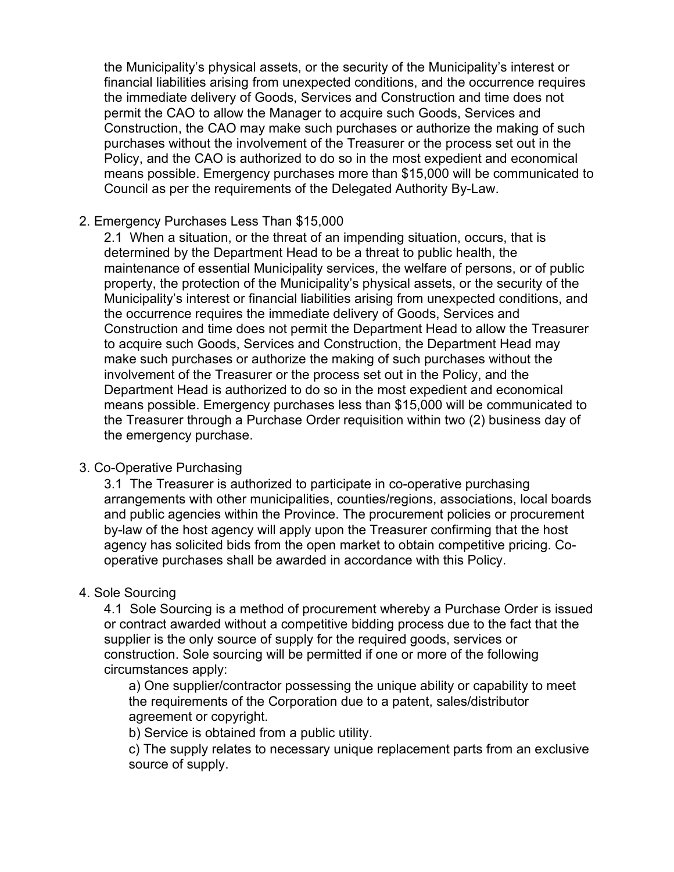the Municipality's physical assets, or the security of the Municipality's interest or financial liabilities arising from unexpected conditions, and the occurrence requires the immediate delivery of Goods, Services and Construction and time does not permit the CAO to allow the Manager to acquire such Goods, Services and Construction, the CAO may make such purchases or authorize the making of such purchases without the involvement of the Treasurer or the process set out in the Policy, and the CAO is authorized to do so in the most expedient and economical means possible. Emergency purchases more than \$15,000 will be communicated to Council as per the requirements of the Delegated Authority By-Law.

#### 2. Emergency Purchases Less Than \$15,000

2.1 When a situation, or the threat of an impending situation, occurs, that is determined by the Department Head to be a threat to public health, the maintenance of essential Municipality services, the welfare of persons, or of public property, the protection of the Municipality's physical assets, or the security of the Municipality's interest or financial liabilities arising from unexpected conditions, and the occurrence requires the immediate delivery of Goods, Services and Construction and time does not permit the Department Head to allow the Treasurer to acquire such Goods, Services and Construction, the Department Head may make such purchases or authorize the making of such purchases without the involvement of the Treasurer or the process set out in the Policy, and the Department Head is authorized to do so in the most expedient and economical means possible. Emergency purchases less than \$15,000 will be communicated to the Treasurer through a Purchase Order requisition within two (2) business day of the emergency purchase.

#### 3. Co-Operative Purchasing

3.1 The Treasurer is authorized to participate in co-operative purchasing arrangements with other municipalities, counties/regions, associations, local boards and public agencies within the Province. The procurement policies or procurement by-law of the host agency will apply upon the Treasurer confirming that the host agency has solicited bids from the open market to obtain competitive pricing. Cooperative purchases shall be awarded in accordance with this Policy.

#### 4. Sole Sourcing

4.1 Sole Sourcing is a method of procurement whereby a Purchase Order is issued or contract awarded without a competitive bidding process due to the fact that the supplier is the only source of supply for the required goods, services or construction. Sole sourcing will be permitted if one or more of the following circumstances apply:

a) One supplier/contractor possessing the unique ability or capability to meet the requirements of the Corporation due to a patent, sales/distributor agreement or copyright.

b) Service is obtained from a public utility.

c) The supply relates to necessary unique replacement parts from an exclusive source of supply.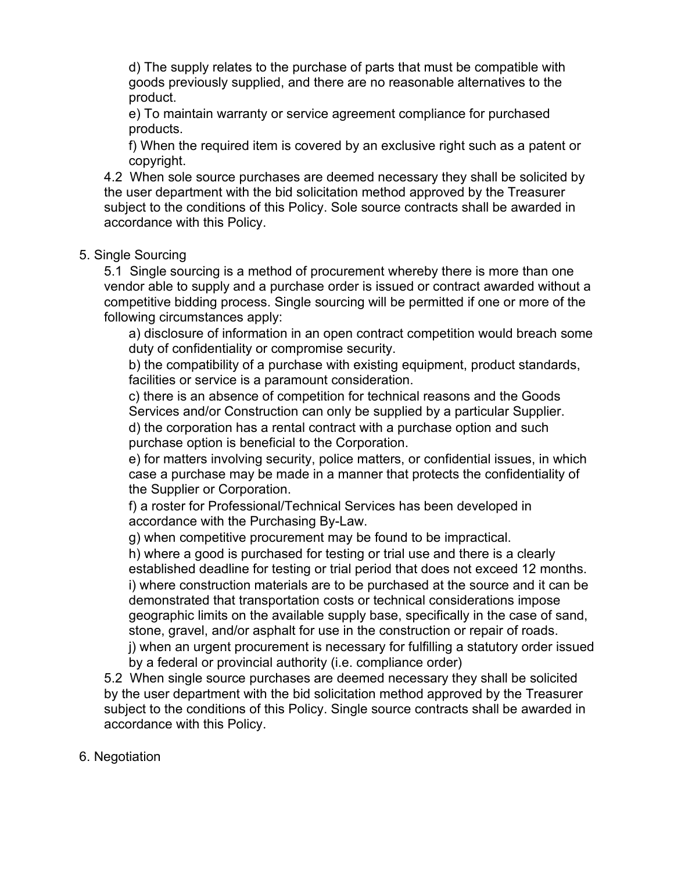d) The supply relates to the purchase of parts that must be compatible with goods previously supplied, and there are no reasonable alternatives to the product.

e) To maintain warranty or service agreement compliance for purchased products.

f) When the required item is covered by an exclusive right such as a patent or copyright.

4.2 When sole source purchases are deemed necessary they shall be solicited by the user department with the bid solicitation method approved by the Treasurer subject to the conditions of this Policy. Sole source contracts shall be awarded in accordance with this Policy.

#### 5. Single Sourcing

5.1 Single sourcing is a method of procurement whereby there is more than one vendor able to supply and a purchase order is issued or contract awarded without a competitive bidding process. Single sourcing will be permitted if one or more of the following circumstances apply:

a) disclosure of information in an open contract competition would breach some duty of confidentiality or compromise security.

b) the compatibility of a purchase with existing equipment, product standards, facilities or service is a paramount consideration.

c) there is an absence of competition for technical reasons and the Goods Services and/or Construction can only be supplied by a particular Supplier.

d) the corporation has a rental contract with a purchase option and such purchase option is beneficial to the Corporation.

e) for matters involving security, police matters, or confidential issues, in which case a purchase may be made in a manner that protects the confidentiality of the Supplier or Corporation.

f) a roster for Professional/Technical Services has been developed in accordance with the Purchasing By-Law.

g) when competitive procurement may be found to be impractical.

h) where a good is purchased for testing or trial use and there is a clearly established deadline for testing or trial period that does not exceed 12 months. i) where construction materials are to be purchased at the source and it can be demonstrated that transportation costs or technical considerations impose geographic limits on the available supply base, specifically in the case of sand, stone, gravel, and/or asphalt for use in the construction or repair of roads.

j) when an urgent procurement is necessary for fulfilling a statutory order issued by a federal or provincial authority (i.e. compliance order)

5.2 When single source purchases are deemed necessary they shall be solicited by the user department with the bid solicitation method approved by the Treasurer subject to the conditions of this Policy. Single source contracts shall be awarded in accordance with this Policy.

#### 6. Negotiation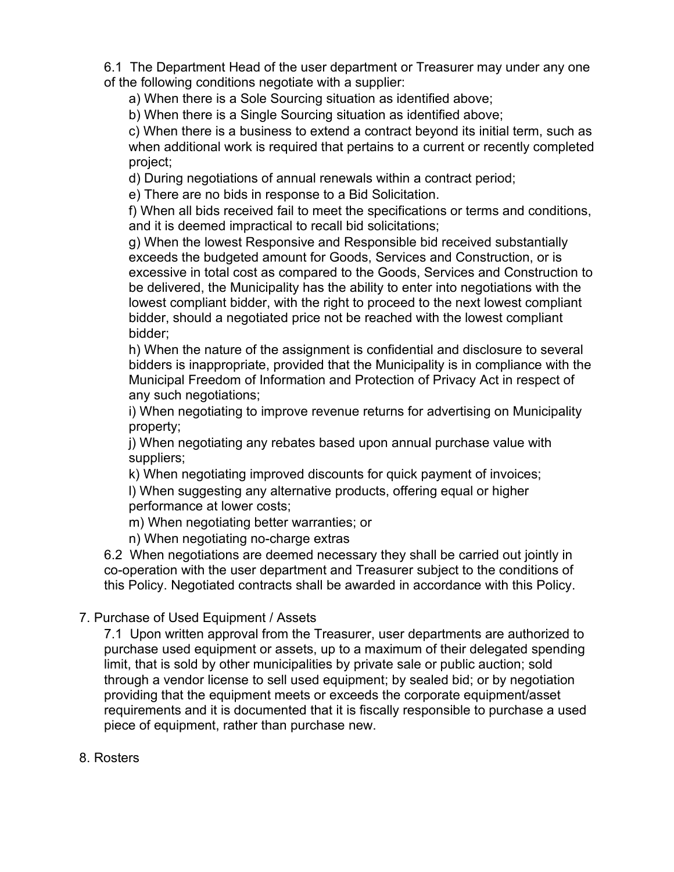6.1 The Department Head of the user department or Treasurer may under any one of the following conditions negotiate with a supplier:

a) When there is a Sole Sourcing situation as identified above;

b) When there is a Single Sourcing situation as identified above;

c) When there is a business to extend a contract beyond its initial term, such as when additional work is required that pertains to a current or recently completed project;

d) During negotiations of annual renewals within a contract period;

e) There are no bids in response to a Bid Solicitation.

f) When all bids received fail to meet the specifications or terms and conditions, and it is deemed impractical to recall bid solicitations;

g) When the lowest Responsive and Responsible bid received substantially exceeds the budgeted amount for Goods, Services and Construction, or is excessive in total cost as compared to the Goods, Services and Construction to be delivered, the Municipality has the ability to enter into negotiations with the lowest compliant bidder, with the right to proceed to the next lowest compliant bidder, should a negotiated price not be reached with the lowest compliant bidder;

h) When the nature of the assignment is confidential and disclosure to several bidders is inappropriate, provided that the Municipality is in compliance with the Municipal Freedom of Information and Protection of Privacy Act in respect of any such negotiations;

i) When negotiating to improve revenue returns for advertising on Municipality property;

j) When negotiating any rebates based upon annual purchase value with suppliers;

k) When negotiating improved discounts for quick payment of invoices; l) When suggesting any alternative products, offering equal or higher performance at lower costs;

m) When negotiating better warranties; or

n) When negotiating no-charge extras

6.2 When negotiations are deemed necessary they shall be carried out jointly in co-operation with the user department and Treasurer subject to the conditions of this Policy. Negotiated contracts shall be awarded in accordance with this Policy.

7. Purchase of Used Equipment / Assets

7.1 Upon written approval from the Treasurer, user departments are authorized to purchase used equipment or assets, up to a maximum of their delegated spending limit, that is sold by other municipalities by private sale or public auction; sold through a vendor license to sell used equipment; by sealed bid; or by negotiation providing that the equipment meets or exceeds the corporate equipment/asset requirements and it is documented that it is fiscally responsible to purchase a used piece of equipment, rather than purchase new.

8. Rosters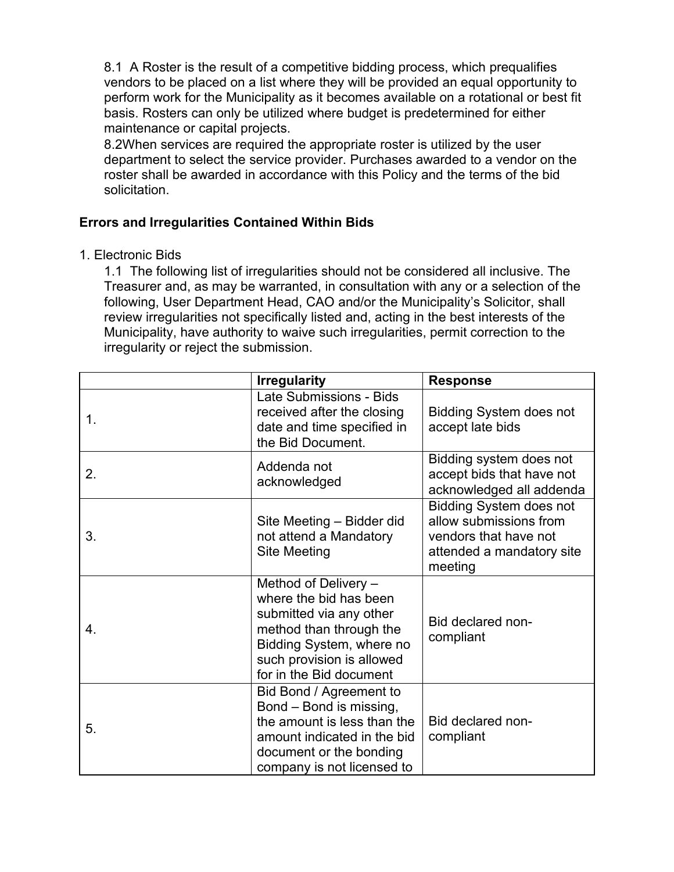8.1 A Roster is the result of a competitive bidding process, which prequalifies vendors to be placed on a list where they will be provided an equal opportunity to perform work for the Municipality as it becomes available on a rotational or best fit basis. Rosters can only be utilized where budget is predetermined for either maintenance or capital projects.

8.2When services are required the appropriate roster is utilized by the user department to select the service provider. Purchases awarded to a vendor on the roster shall be awarded in accordance with this Policy and the terms of the bid solicitation.

# **Errors and Irregularities Contained Within Bids**

#### 1. Electronic Bids

1.1 The following list of irregularities should not be considered all inclusive. The Treasurer and, as may be warranted, in consultation with any or a selection of the following, User Department Head, CAO and/or the Municipality's Solicitor, shall review irregularities not specifically listed and, acting in the best interests of the Municipality, have authority to waive such irregularities, permit correction to the irregularity or reject the submission.

|    | <b>Irregularity</b>                                                                                                                                                                      | <b>Response</b>                                                                                                           |
|----|------------------------------------------------------------------------------------------------------------------------------------------------------------------------------------------|---------------------------------------------------------------------------------------------------------------------------|
| 1. | Late Submissions - Bids<br>received after the closing<br>date and time specified in<br>the Bid Document.                                                                                 | <b>Bidding System does not</b><br>accept late bids                                                                        |
| 2. | Addenda not<br>acknowledged                                                                                                                                                              | Bidding system does not<br>accept bids that have not<br>acknowledged all addenda                                          |
| 3. | Site Meeting - Bidder did<br>not attend a Mandatory<br><b>Site Meeting</b>                                                                                                               | <b>Bidding System does not</b><br>allow submissions from<br>vendors that have not<br>attended a mandatory site<br>meeting |
| 4. | Method of Delivery -<br>where the bid has been<br>submitted via any other<br>method than through the<br>Bidding System, where no<br>such provision is allowed<br>for in the Bid document | Bid declared non-<br>compliant                                                                                            |
| 5. | Bid Bond / Agreement to<br>Bond – Bond is missing,<br>the amount is less than the<br>amount indicated in the bid<br>document or the bonding<br>company is not licensed to                | Bid declared non-<br>compliant                                                                                            |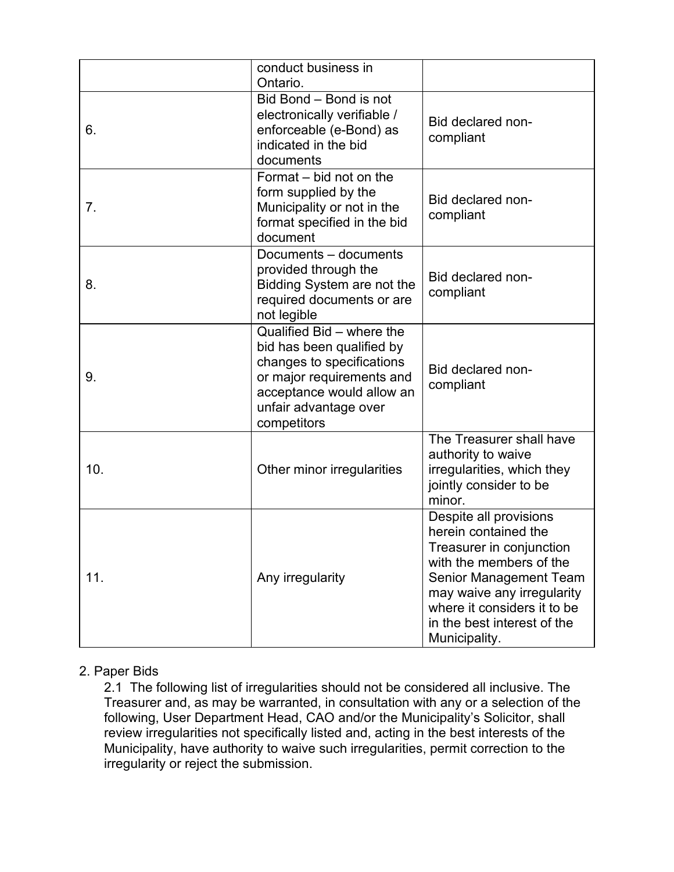|     | conduct business in<br>Ontario.                                                                                                                                                       |                                                                                                                                                                                                                                                     |
|-----|---------------------------------------------------------------------------------------------------------------------------------------------------------------------------------------|-----------------------------------------------------------------------------------------------------------------------------------------------------------------------------------------------------------------------------------------------------|
| 6.  | Bid Bond - Bond is not<br>electronically verifiable /<br>enforceable (e-Bond) as<br>indicated in the bid<br>documents                                                                 | Bid declared non-<br>compliant                                                                                                                                                                                                                      |
| 7.  | Format – bid not on the<br>form supplied by the<br>Municipality or not in the<br>format specified in the bid<br>document                                                              | Bid declared non-<br>compliant                                                                                                                                                                                                                      |
| 8.  | Documents - documents<br>provided through the<br>Bidding System are not the<br>required documents or are<br>not legible                                                               | Bid declared non-<br>compliant                                                                                                                                                                                                                      |
| 9.  | Qualified Bid - where the<br>bid has been qualified by<br>changes to specifications<br>or major requirements and<br>acceptance would allow an<br>unfair advantage over<br>competitors | Bid declared non-<br>compliant                                                                                                                                                                                                                      |
| 10. | Other minor irregularities                                                                                                                                                            | The Treasurer shall have<br>authority to waive<br>irregularities, which they<br>jointly consider to be<br>minor.                                                                                                                                    |
| 11. | Any irregularity                                                                                                                                                                      | Despite all provisions<br>herein contained the<br>Treasurer in conjunction<br>with the members of the<br><b>Senior Management Team</b><br>may waive any irregularity<br>where it considers it to be<br>in the best interest of the<br>Municipality. |

# 2. Paper Bids

2.1 The following list of irregularities should not be considered all inclusive. The Treasurer and, as may be warranted, in consultation with any or a selection of the following, User Department Head, CAO and/or the Municipality's Solicitor, shall review irregularities not specifically listed and, acting in the best interests of the Municipality, have authority to waive such irregularities, permit correction to the irregularity or reject the submission.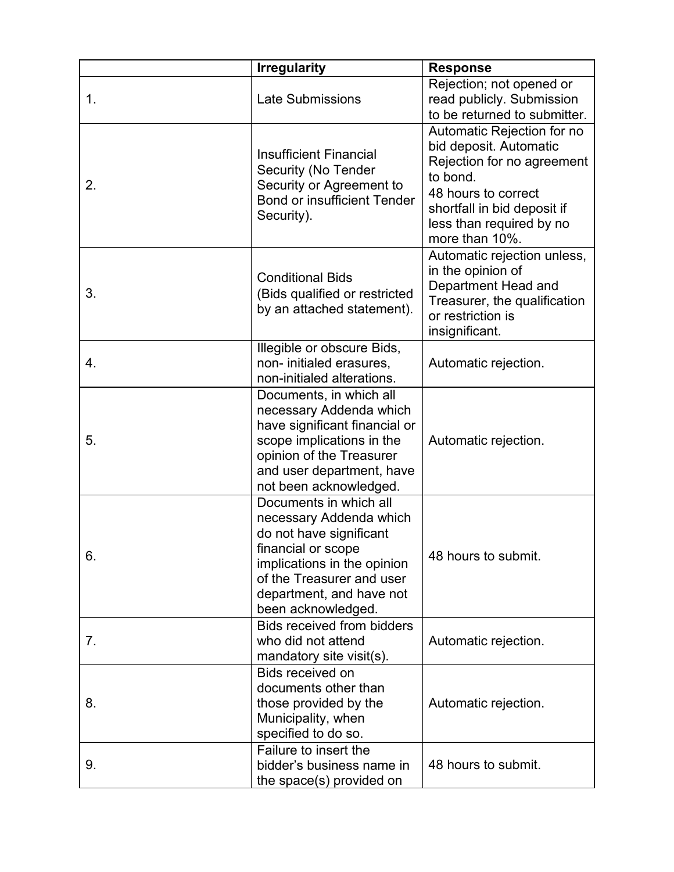|    | <b>Irregularity</b>                                                                                                                                                                                              | <b>Response</b>                                                                                                                                                                                    |
|----|------------------------------------------------------------------------------------------------------------------------------------------------------------------------------------------------------------------|----------------------------------------------------------------------------------------------------------------------------------------------------------------------------------------------------|
| 1. | <b>Late Submissions</b>                                                                                                                                                                                          | Rejection; not opened or<br>read publicly. Submission<br>to be returned to submitter.                                                                                                              |
| 2. | <b>Insufficient Financial</b><br>Security (No Tender<br>Security or Agreement to<br><b>Bond or insufficient Tender</b><br>Security).                                                                             | Automatic Rejection for no<br>bid deposit. Automatic<br>Rejection for no agreement<br>to bond.<br>48 hours to correct<br>shortfall in bid deposit if<br>less than required by no<br>more than 10%. |
| 3. | <b>Conditional Bids</b><br>(Bids qualified or restricted<br>by an attached statement).                                                                                                                           | Automatic rejection unless,<br>in the opinion of<br>Department Head and<br>Treasurer, the qualification<br>or restriction is<br>insignificant.                                                     |
| 4. | Illegible or obscure Bids,<br>non- initialed erasures,<br>non-initialed alterations.                                                                                                                             | Automatic rejection.                                                                                                                                                                               |
| 5. | Documents, in which all<br>necessary Addenda which<br>have significant financial or<br>scope implications in the<br>opinion of the Treasurer<br>and user department, have<br>not been acknowledged.              | Automatic rejection.                                                                                                                                                                               |
| 6. | Documents in which all<br>necessary Addenda which<br>do not have significant<br>financial or scope<br>implications in the opinion<br>of the Treasurer and user<br>department, and have not<br>been acknowledged. | 48 hours to submit.                                                                                                                                                                                |
| 7. | <b>Bids received from bidders</b><br>who did not attend<br>mandatory site visit(s).                                                                                                                              | Automatic rejection.                                                                                                                                                                               |
| 8. | Bids received on<br>documents other than<br>those provided by the<br>Municipality, when<br>specified to do so.                                                                                                   | Automatic rejection.                                                                                                                                                                               |
| 9. | Failure to insert the<br>bidder's business name in<br>the space(s) provided on                                                                                                                                   | 48 hours to submit.                                                                                                                                                                                |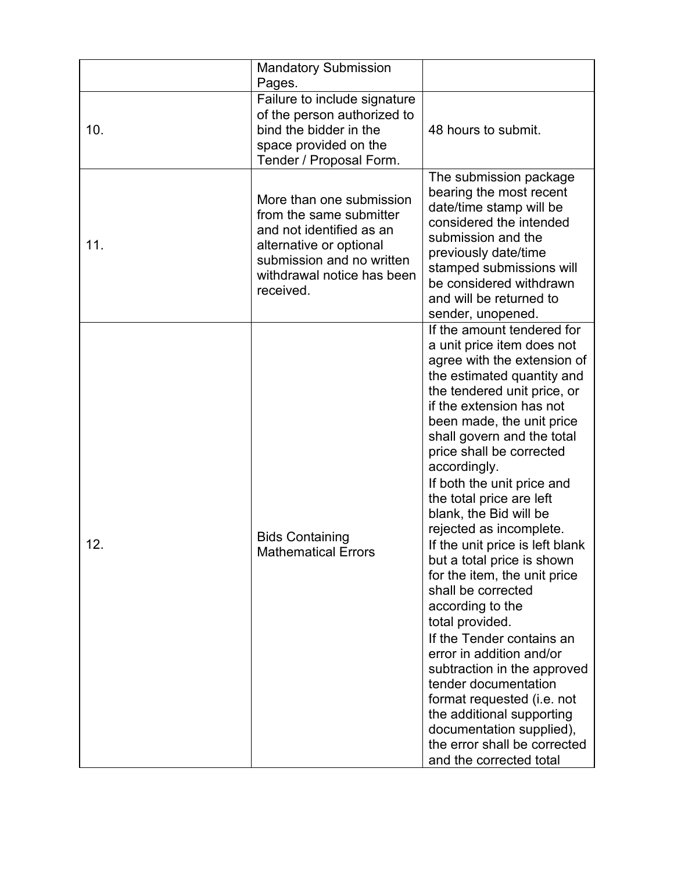|     | <b>Mandatory Submission</b><br>Pages.                                                                                                                                              |                                                                                                                                                                                                                                                                                                                                                                                                                                                                                                                                                                                                                                                                                                                                                                                                                                        |
|-----|------------------------------------------------------------------------------------------------------------------------------------------------------------------------------------|----------------------------------------------------------------------------------------------------------------------------------------------------------------------------------------------------------------------------------------------------------------------------------------------------------------------------------------------------------------------------------------------------------------------------------------------------------------------------------------------------------------------------------------------------------------------------------------------------------------------------------------------------------------------------------------------------------------------------------------------------------------------------------------------------------------------------------------|
| 10. | Failure to include signature<br>of the person authorized to<br>bind the bidder in the<br>space provided on the<br>Tender / Proposal Form.                                          | 48 hours to submit.                                                                                                                                                                                                                                                                                                                                                                                                                                                                                                                                                                                                                                                                                                                                                                                                                    |
| 11. | More than one submission<br>from the same submitter<br>and not identified as an<br>alternative or optional<br>submission and no written<br>withdrawal notice has been<br>received. | The submission package<br>bearing the most recent<br>date/time stamp will be<br>considered the intended<br>submission and the<br>previously date/time<br>stamped submissions will<br>be considered withdrawn<br>and will be returned to<br>sender, unopened.                                                                                                                                                                                                                                                                                                                                                                                                                                                                                                                                                                           |
| 12. | <b>Bids Containing</b><br><b>Mathematical Errors</b>                                                                                                                               | If the amount tendered for<br>a unit price item does not<br>agree with the extension of<br>the estimated quantity and<br>the tendered unit price, or<br>if the extension has not<br>been made, the unit price<br>shall govern and the total<br>price shall be corrected<br>accordingly.<br>If both the unit price and<br>the total price are left<br>blank, the Bid will be<br>rejected as incomplete.<br>If the unit price is left blank<br>but a total price is shown<br>for the item, the unit price<br>shall be corrected<br>according to the<br>total provided.<br>If the Tender contains an<br>error in addition and/or<br>subtraction in the approved<br>tender documentation<br>format requested (i.e. not<br>the additional supporting<br>documentation supplied),<br>the error shall be corrected<br>and the corrected total |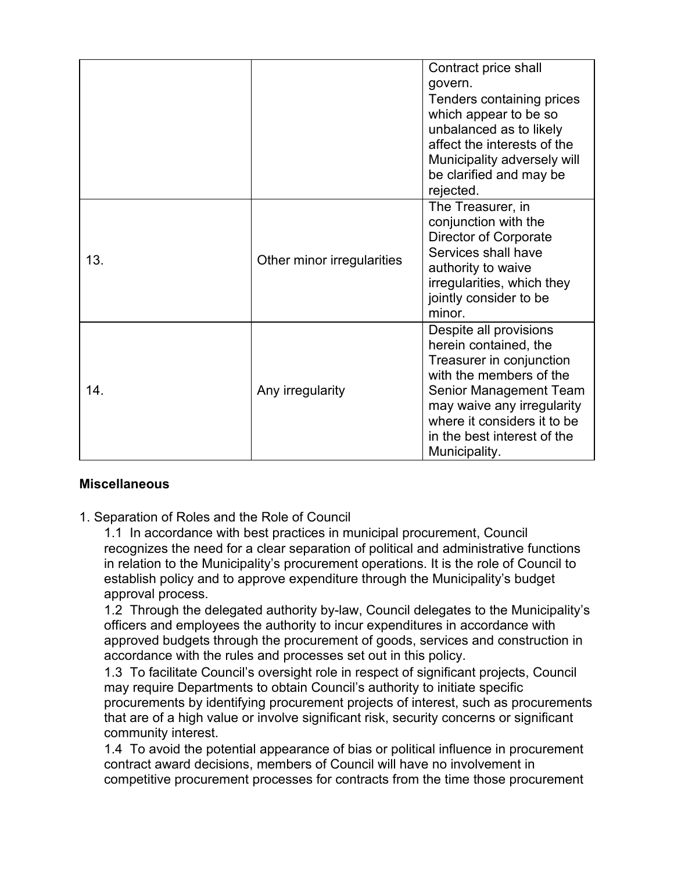|                 |                            | Contract price shall<br>govern.<br>Tenders containing prices<br>which appear to be so<br>unbalanced as to likely<br>affect the interests of the<br>Municipality adversely will<br>be clarified and may be<br>rejected.                        |
|-----------------|----------------------------|-----------------------------------------------------------------------------------------------------------------------------------------------------------------------------------------------------------------------------------------------|
| 13.             | Other minor irregularities | The Treasurer, in<br>conjunction with the<br><b>Director of Corporate</b><br>Services shall have<br>authority to waive<br>irregularities, which they<br>jointly consider to be<br>minor.                                                      |
| 14 <sub>1</sub> | Any irregularity           | Despite all provisions<br>herein contained, the<br>Treasurer in conjunction<br>with the members of the<br>Senior Management Team<br>may waive any irregularity<br>where it considers it to be<br>in the best interest of the<br>Municipality. |

# **Miscellaneous**

1. Separation of Roles and the Role of Council

1.1 In accordance with best practices in municipal procurement, Council recognizes the need for a clear separation of political and administrative functions in relation to the Municipality's procurement operations. It is the role of Council to establish policy and to approve expenditure through the Municipality's budget approval process.

1.2 Through the delegated authority by-law, Council delegates to the Municipality's officers and employees the authority to incur expenditures in accordance with approved budgets through the procurement of goods, services and construction in accordance with the rules and processes set out in this policy.

1.3 To facilitate Council's oversight role in respect of significant projects, Council may require Departments to obtain Council's authority to initiate specific procurements by identifying procurement projects of interest, such as procurements that are of a high value or involve significant risk, security concerns or significant community interest.

1.4 To avoid the potential appearance of bias or political influence in procurement contract award decisions, members of Council will have no involvement in competitive procurement processes for contracts from the time those procurement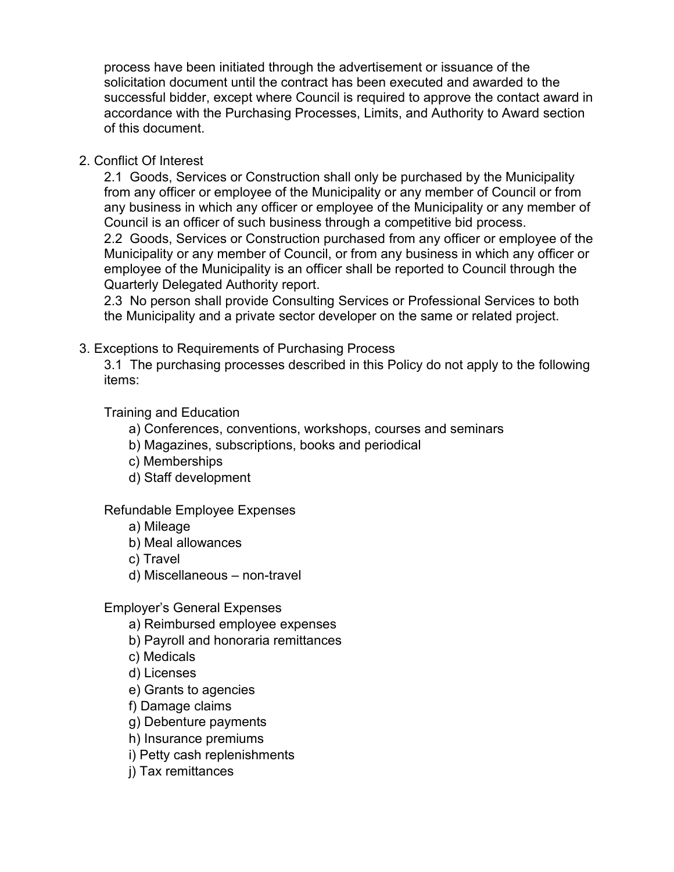process have been initiated through the advertisement or issuance of the solicitation document until the contract has been executed and awarded to the successful bidder, except where Council is required to approve the contact award in accordance with the Purchasing Processes, Limits, and Authority to Award section of this document.

2. Conflict Of Interest

2.1 Goods, Services or Construction shall only be purchased by the Municipality from any officer or employee of the Municipality or any member of Council or from any business in which any officer or employee of the Municipality or any member of Council is an officer of such business through a competitive bid process.

2.2 Goods, Services or Construction purchased from any officer or employee of the Municipality or any member of Council, or from any business in which any officer or employee of the Municipality is an officer shall be reported to Council through the Quarterly Delegated Authority report.

2.3 No person shall provide Consulting Services or Professional Services to both the Municipality and a private sector developer on the same or related project.

3. Exceptions to Requirements of Purchasing Process

3.1 The purchasing processes described in this Policy do not apply to the following items:

Training and Education

- a) Conferences, conventions, workshops, courses and seminars
- b) Magazines, subscriptions, books and periodical
- c) Memberships
- d) Staff development

# Refundable Employee Expenses

- a) Mileage
- b) Meal allowances
- c) Travel
- d) Miscellaneous non-travel

#### Employer's General Expenses

- a) Reimbursed employee expenses
- b) Payroll and honoraria remittances
- c) Medicals
- d) Licenses
- e) Grants to agencies
- f) Damage claims
- g) Debenture payments
- h) Insurance premiums
- i) Petty cash replenishments
- j) Tax remittances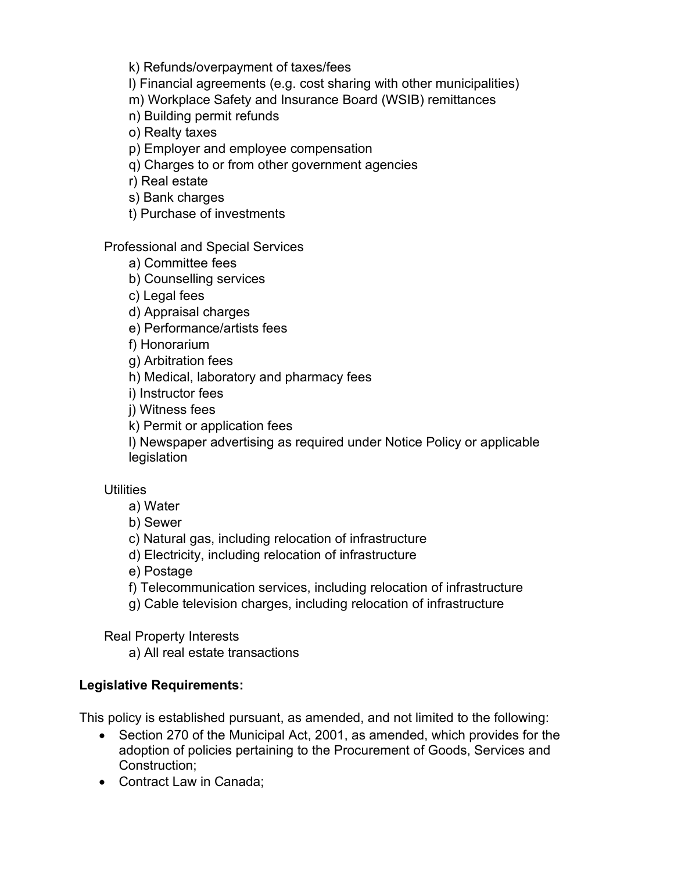k) Refunds/overpayment of taxes/fees

l) Financial agreements (e.g. cost sharing with other municipalities)

m) Workplace Safety and Insurance Board (WSIB) remittances

n) Building permit refunds

o) Realty taxes

p) Employer and employee compensation

q) Charges to or from other government agencies

r) Real estate

s) Bank charges

t) Purchase of investments

Professional and Special Services

a) Committee fees

b) Counselling services

c) Legal fees

d) Appraisal charges

e) Performance/artists fees

f) Honorarium

g) Arbitration fees

h) Medical, laboratory and pharmacy fees

i) Instructor fees

j) Witness fees

k) Permit or application fees

l) Newspaper advertising as required under Notice Policy or applicable legislation

#### **Utilities**

a) Water

b) Sewer

c) Natural gas, including relocation of infrastructure

d) Electricity, including relocation of infrastructure

e) Postage

f) Telecommunication services, including relocation of infrastructure

g) Cable television charges, including relocation of infrastructure

Real Property Interests

a) All real estate transactions

# **Legislative Requirements:**

This policy is established pursuant, as amended, and not limited to the following:

- Section 270 of the Municipal Act, 2001, as amended, which provides for the adoption of policies pertaining to the Procurement of Goods, Services and Construction;
- Contract Law in Canada;